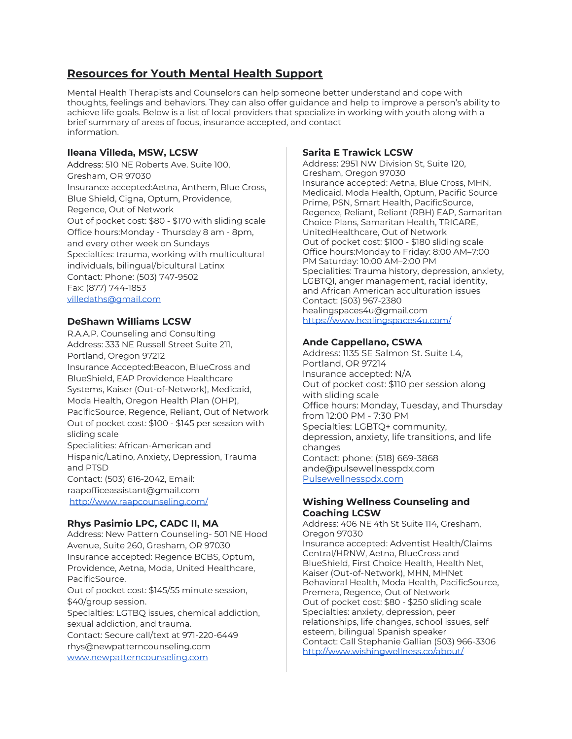# **Resources for Youth Mental Health Support**

Mental Health Therapists and Counselors can help someone better understand and cope with thoughts, feelings and behaviors. They can also offer guidance and help to improve a person's ability to achieve life goals. Below is a list of local providers that specialize in working with youth along with a brief summary of areas of focus, insurance accepted, and contact information.

## **Ileana Villeda, MSW, LCSW**

Address: 510 NE Roberts Ave. Suite 100, Gresham, OR 97030 Insurance accepted:Aetna, Anthem, Blue Cross, Blue Shield, Cigna, Optum, Providence, Regence, Out of Network Out of pocket cost: \$80 - \$170 with sliding scale Office hours:Monday - Thursday 8 am - 8pm, and every other week on Sundays Specialties: trauma, working with multicultural individuals, bilingual/bicultural Latinx Contact: Phone: (503) 747-9502 Fax: (877) 744-1853 [villedaths@gmail.com](mailto:villedaths@gmail.com)

#### **DeShawn Williams LCSW**

R.A.A.P. Counseling and Consulting Address: 333 NE Russell Street Suite 211, Portland, Oregon 97212 Insurance Accepted:Beacon, BlueCross and BlueShield, EAP Providence Healthcare Systems, Kaiser (Out-of-Network), Medicaid, Moda Health, Oregon Health Plan (OHP), PacificSource, Regence, Reliant, Out of Network Out of pocket cost: \$100 - \$145 per session with sliding scale Specialities: African-American and Hispanic/Latino, Anxiety, Depression, Trauma and PTSD Contact: (503) 616-2042, Email: raapofficeassistant@gmail.com <http://www.raapcounseling.com/>

#### **Rhys Pasimio LPC, CADC II, MA**

Address: New Pattern Counseling- 501 NE Hood Avenue, Suite 260, Gresham, OR 97030 Insurance accepted: Regence BCBS, Optum, Providence, Aetna, Moda, United Healthcare, PacificSource. Out of pocket cost: \$145/55 minute session, \$40/group session. Specialties: LGTBQ issues, chemical addiction, sexual addiction, and trauma. Contact: Secure call/text at 971-220-6449 rhys@newpatterncounseling.com

[www.newpatterncounseling.com](http://www.newpatterncounseling.com/)

### **Sarita E Trawick LCSW**

Address: 2951 NW Division St, Suite 120, Gresham, Oregon 97030 Insurance accepted: Aetna, Blue Cross, MHN, Medicaid, Moda Health, Optum, Pacific Source Prime, PSN, Smart Health, PacificSource, Regence, Reliant, Reliant (RBH) EAP, Samaritan Choice Plans, Samaritan Health, TRICARE, UnitedHealthcare, Out of Network Out of pocket cost: \$100 - \$180 sliding scale Office hours:Monday to Friday: 8:00 AM–7:00 PM Saturday: 10:00 AM–2:00 PM Specialities: Trauma history, depression, anxiety, LGBTQI, anger management, racial identity, and African American acculturation issues Contact: (503) 967-2380 healingspaces4u@gmail.com <https://www.healingspaces4u.com/>

#### **Ande Cappellano, CSWA**

Address: 1135 SE Salmon St. Suite L4, Portland, OR 97214 Insurance accepted: N/A Out of pocket cost: \$110 per session along with sliding scale Office hours: Monday, Tuesday, and Thursday from 12:00 PM - 7:30 PM Specialties: LGBTQ+ community, depression, anxiety, life transitions, and life changes Contact: phone: (518) 669-3868 ande@pulsewellnesspdx.com [Pulsewellnesspdx.com](http://pulsewellnesspdx.com/)

#### **Wishing Wellness Counseling and Coaching LCSW**

Address: 406 NE 4th St Suite 114, Gresham, Oregon 97030 Insurance accepted: Adventist Health/Claims Central/HRNW, Aetna, BlueCross and BlueShield, First Choice Health, Health Net, Kaiser (Out-of-Network), MHN, MHNet Behavioral Health, Moda Health, PacificSource, Premera, Regence, Out of Network Out of pocket cost: \$80 - \$250 sliding scale Specialties: anxiety, depression, peer relationships, life changes, school issues, self esteem, bilingual Spanish speaker Contact: Call Stephanie Gallian (503) 966-3306 <http://www.wishingwellness.co/about/>